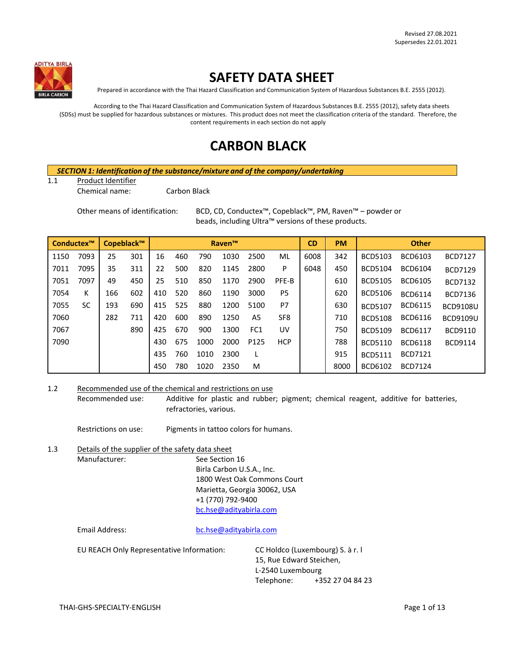

# **SAFETY DATA SHEET**

Prepared in accordance with the Thai Hazard Classification and Communication System of Hazardous Substances B.E. 2555 (2012).

According to the Thai Hazard Classification and Communication System of Hazardous Substances B.E. 2555 (2012), safety data sheets (SDSs) must be supplied for hazardous substances or mixtures. This product does not meet the classification criteria of the standard. Therefore, the content requirements in each section do not apply

# **CARBON BLACK**

#### *SECTION 1: Identification of the substance/mixture and of the company/undertaking*

#### 1.1 Product Identifier

Chemical name: Carbon Black

Other means of identification: BCD, CD, Conductex™, Copeblack™, PM, Raven™ – powder or beads, including Ultra™ versions of these products.

|      | Conductex™ |     | Copeblack™ |     |     |      | <b>Raven™</b> |                 |                 | <b>CD</b> | <b>PM</b> |                | <b>Other</b>   |                 |
|------|------------|-----|------------|-----|-----|------|---------------|-----------------|-----------------|-----------|-----------|----------------|----------------|-----------------|
| 1150 | 7093       | 25  | 301        | 16  | 460 | 790  | 1030          | 2500            | ML              | 6008      | 342       | <b>BCD5103</b> | BCD6103        | <b>BCD7127</b>  |
| 7011 | 7095       | 35  | 311        | 22  | 500 | 820  | 1145          | 2800            | P               | 6048      | 450       | <b>BCD5104</b> | <b>BCD6104</b> | <b>BCD7129</b>  |
| 7051 | 7097       | 49  | 450        | 25  | 510 | 850  | 1170          | 2900            | PFE-B           |           | 610       | <b>BCD5105</b> | <b>BCD6105</b> | <b>BCD7132</b>  |
| 7054 | К          | 166 | 602        | 410 | 520 | 860  | 1190          | 3000            | P <sub>5</sub>  |           | 620       | <b>BCD5106</b> | <b>BCD6114</b> | <b>BCD7136</b>  |
| 7055 | SC         | 193 | 690        | 415 | 525 | 880  | 1200          | 5100            | P7              |           | 630       | <b>BCD5107</b> | <b>BCD6115</b> | <b>BCD9108U</b> |
| 7060 |            | 282 | 711        | 420 | 600 | 890  | 1250          | A5              | SF <sub>8</sub> |           | 710       | <b>BCD5108</b> | <b>BCD6116</b> | <b>BCD9109U</b> |
| 7067 |            |     | 890        | 425 | 670 | 900  | 1300          | FC <sub>1</sub> | UV              |           | 750       | <b>BCD5109</b> | <b>BCD6117</b> | BCD9110         |
| 7090 |            |     |            | 430 | 675 | 1000 | 2000          | P125            | <b>HCP</b>      |           | 788       | <b>BCD5110</b> | <b>BCD6118</b> | <b>BCD9114</b>  |
|      |            |     |            | 435 | 760 | 1010 | 2300          |                 |                 |           | 915       | <b>BCD5111</b> | <b>BCD7121</b> |                 |
|      |            |     |            | 450 | 780 | 1020 | 2350          | M               |                 |           | 8000      | BCD6102        | <b>BCD7124</b> |                 |

1.2 Recommended use of the chemical and restrictions on use

Recommended use: Additive for plastic and rubber; pigment; chemical reagent, additive for batteries, refractories, various.

Restrictions on use: Pigments in tattoo colors for humans.

1.3 Details of the supplier of the safety data sheet<br>Manufacturer: See Section See Section 16 Birla Carbon U.S.A., Inc. 1800 West Oak Commons Court Marietta, Georgia 30062, USA +1 (770) 792-9400 [bc.hse@adityabirla.com](mailto:bc.hse@adityabirla.com)

Email Address: [bc.hse@adityabirla.com](mailto:bc.hse@adityabirla.com)

EU REACH Only Representative Information: CC Holdco (Luxembourg) S. à r. l

15, Rue Edward Steichen, L-2540 Luxembourg Telephone: +352 27 04 84 23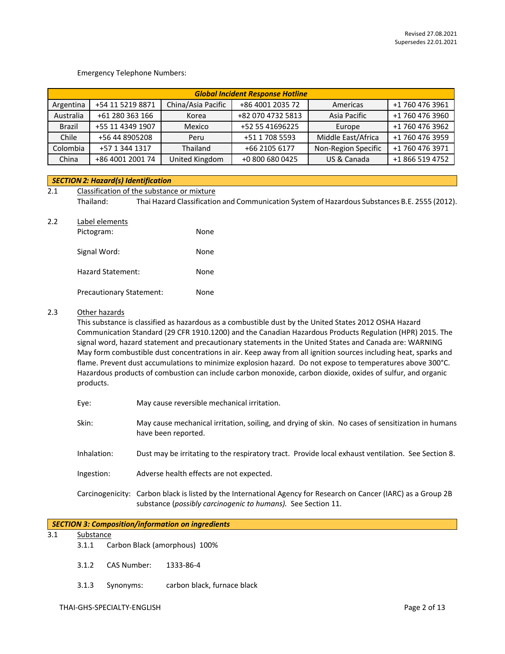#### Emergency Telephone Numbers:

|           | <b>Global Incident Response Hotline</b> |                    |                   |                     |                 |  |
|-----------|-----------------------------------------|--------------------|-------------------|---------------------|-----------------|--|
| Argentina | +54 11 5219 8871                        | China/Asia Pacific | +86 4001 2035 72  | Americas            | +1 760 476 3961 |  |
| Australia | +61 280 363 166                         | Korea              | +82 070 4732 5813 | Asia Pacific        | +1 760 476 3960 |  |
| Brazil    | +55 11 4349 1907                        | Mexico             | +52 55 41696225   | Europe              | +1 760 476 3962 |  |
| Chile     | +56 44 8905208                          | Peru               | +51 1 708 5593    | Middle East/Africa  | +1 760 476 3959 |  |
| Colombia  | +57 1 344 1317                          | Thailand           | +66 2105 6177     | Non-Region Specific | +1 760 476 3971 |  |
| China     | +86 4001 2001 74                        | United Kingdom     | +0 800 680 0425   | US & Canada         | +1 866 519 4752 |  |

#### *SECTION 2: Hazard(s) Identification*

2.1 Classification of the substance or mixture Thailand: Thai Hazard Classification and Communication System of Hazardous Substances B.E. 2555 (2012).

#### 2.2 Label elements

| Pictogram:                      | None |
|---------------------------------|------|
| Signal Word:                    | None |
| Hazard Statement:               | None |
| <b>Precautionary Statement:</b> | None |

#### 2.3 Other hazards

This substance is classified as hazardous as a combustible dust by the United States 2012 OSHA Hazard Communication Standard (29 CFR 1910.1200) and the Canadian Hazardous Products Regulation (HPR) 2015. The signal word, hazard statement and precautionary statements in the United States and Canada are: WARNING May form combustible dust concentrations in air. Keep away from all ignition sources including heat, sparks and flame. Prevent dust accumulations to minimize explosion hazard. Do not expose to temperatures above 300°C. Hazardous products of combustion can include carbon monoxide, carbon dioxide, oxides of sulfur, and organic products.

| Eye: | May cause reversible mechanical irritation. |
|------|---------------------------------------------|
|------|---------------------------------------------|

- Skin: May cause mechanical irritation, soiling, and drying of skin. No cases of sensitization in humans have been reported.
- Inhalation: Dust may be irritating to the respiratory tract. Provide local exhaust ventilation. See Section 8.
- Ingestion: Adverse health effects are not expected.

Carcinogenicity: Carbon black is listed by the International Agency for Research on Cancer (IARC) as a Group 2B substance (*possibly carcinogenic to humans).* See Section 11.

| SECTION 3: Composition/information on ingredients |  |
|---------------------------------------------------|--|
|---------------------------------------------------|--|

#### 3.1 Substance

- 3.1.1 Carbon Black (amorphous) 100%
- 3.1.2 CAS Number: 1333-86-4
- 3.1.3 Synonyms: carbon black, furnace black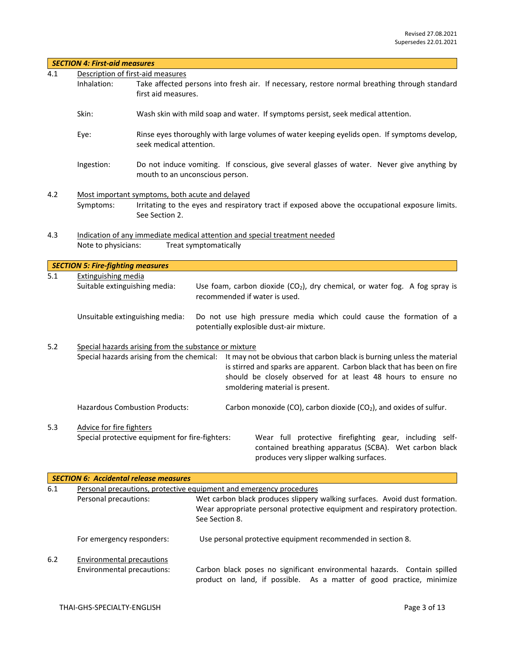|     | <b>SECTION 4: First-aid measures</b>                           |                                                                                                                         |                                 |                                                                                                                                                                                                                                                      |  |  |
|-----|----------------------------------------------------------------|-------------------------------------------------------------------------------------------------------------------------|---------------------------------|------------------------------------------------------------------------------------------------------------------------------------------------------------------------------------------------------------------------------------------------------|--|--|
| 4.1 |                                                                | Description of first-aid measures                                                                                       |                                 |                                                                                                                                                                                                                                                      |  |  |
|     | Inhalation:                                                    | first aid measures.                                                                                                     |                                 | Take affected persons into fresh air. If necessary, restore normal breathing through standard                                                                                                                                                        |  |  |
|     | Skin:                                                          | Wash skin with mild soap and water. If symptoms persist, seek medical attention.                                        |                                 |                                                                                                                                                                                                                                                      |  |  |
|     | Eye:                                                           | Rinse eyes thoroughly with large volumes of water keeping eyelids open. If symptoms develop,<br>seek medical attention. |                                 |                                                                                                                                                                                                                                                      |  |  |
|     | Ingestion:                                                     |                                                                                                                         | mouth to an unconscious person. | Do not induce vomiting. If conscious, give several glasses of water. Never give anything by                                                                                                                                                          |  |  |
| 4.2 | Symptoms:                                                      | Most important symptoms, both acute and delayed<br>See Section 2.                                                       |                                 | Irritating to the eyes and respiratory tract if exposed above the occupational exposure limits.                                                                                                                                                      |  |  |
| 4.3 | Note to physicians:                                            |                                                                                                                         | Treat symptomatically           | Indication of any immediate medical attention and special treatment needed                                                                                                                                                                           |  |  |
|     | <b>SECTION 5: Fire-fighting measures</b>                       |                                                                                                                         |                                 |                                                                                                                                                                                                                                                      |  |  |
| 5.1 | Extinguishing media                                            |                                                                                                                         |                                 |                                                                                                                                                                                                                                                      |  |  |
|     | Suitable extinguishing media:                                  |                                                                                                                         | recommended if water is used.   | Use foam, carbon dioxide $(CO2)$ , dry chemical, or water fog. A fog spray is                                                                                                                                                                        |  |  |
|     |                                                                | Unsuitable extinguishing media:                                                                                         |                                 | Do not use high pressure media which could cause the formation of a<br>potentially explosible dust-air mixture.                                                                                                                                      |  |  |
| 5.2 |                                                                | Special hazards arising from the substance or mixture<br>Special hazards arising from the chemical:                     |                                 | It may not be obvious that carbon black is burning unless the material<br>is stirred and sparks are apparent. Carbon black that has been on fire<br>should be closely observed for at least 48 hours to ensure no<br>smoldering material is present. |  |  |
|     |                                                                | <b>Hazardous Combustion Products:</b>                                                                                   |                                 | Carbon monoxide (CO), carbon dioxide (CO <sub>2</sub> ), and oxides of sulfur.                                                                                                                                                                       |  |  |
| 5.3 | <b>Advice for fire fighters</b>                                | Special protective equipment for fire-fighters:                                                                         |                                 | Wear full protective firefighting gear, including self-<br>contained breathing apparatus (SCBA). Wet carbon black<br>produces very slipper walking surfaces.                                                                                         |  |  |
|     |                                                                | <b>SECTION 6: Accidental release measures</b>                                                                           |                                 |                                                                                                                                                                                                                                                      |  |  |
| 6.1 |                                                                |                                                                                                                         |                                 | Personal precautions, protective equipment and emergency procedures                                                                                                                                                                                  |  |  |
|     | Personal precautions:                                          |                                                                                                                         | See Section 8.                  | Wet carbon black produces slippery walking surfaces. Avoid dust formation.<br>Wear appropriate personal protective equipment and respiratory protection.                                                                                             |  |  |
|     | For emergency responders:                                      |                                                                                                                         |                                 | Use personal protective equipment recommended in section 8.                                                                                                                                                                                          |  |  |
| 6.2 | <b>Environmental precautions</b><br>Environmental precautions: |                                                                                                                         |                                 | Carbon black poses no significant environmental hazards. Contain spilled<br>product on land, if possible. As a matter of good practice, minimize                                                                                                     |  |  |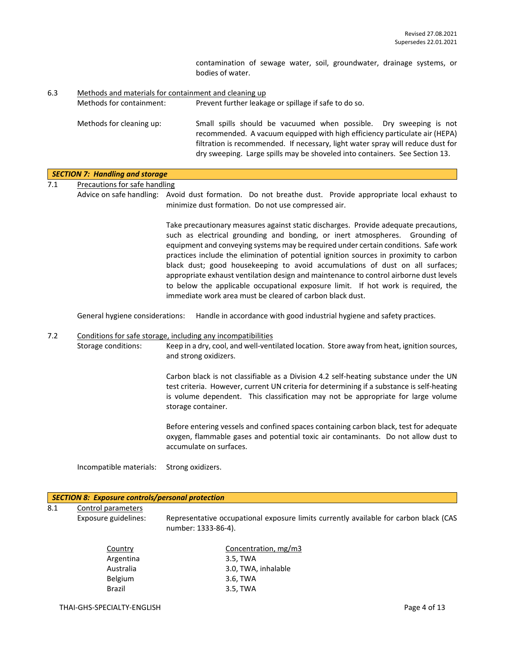contamination of sewage water, soil, groundwater, drainage systems, or bodies of water.

6.3 Methods and materials for containment and cleaning up Methods for containment: Prevent further leakage or spillage if safe to do so.

Methods for cleaning up: Small spills should be vacuumed when possible. Dry sweeping is not recommended. A vacuum equipped with high efficiency particulate air (HEPA) filtration is recommended. If necessary, light water spray will reduce dust for dry sweeping. Large spills may be shoveled into containers. See Section 13.

## *SECTION 7: Handling and storage*

7.1 Precautions for safe handling

Advice on safe handling: Avoid dust formation. Do not breathe dust. Provide appropriate local exhaust to minimize dust formation. Do not use compressed air.

> Take precautionary measures against static discharges. Provide adequate precautions, such as electrical grounding and bonding, or inert atmospheres. Grounding of equipment and conveying systems may be required under certain conditions. Safe work practices include the elimination of potential ignition sources in proximity to carbon black dust; good housekeeping to avoid accumulations of dust on all surfaces; appropriate exhaust ventilation design and maintenance to control airborne dust levels to below the applicable occupational exposure limit. If hot work is required, the immediate work area must be cleared of carbon black dust.

General hygiene considerations: Handle in accordance with good industrial hygiene and safety practices.

#### 7.2 Conditions for safe storage, including any incompatibilities Storage conditions: Keep in a dry, cool, and well-ventilated location. Store away from heat, ignition sources, and strong oxidizers.

Carbon black is not classifiable as a Division 4.2 self-heating substance under the UN test criteria. However, current UN criteria for determining if a substance is self-heating is volume dependent. This classification may not be appropriate for large volume storage container.

Before entering vessels and confined spaces containing carbon black, test for adequate oxygen, flammable gases and potential toxic air contaminants. Do not allow dust to accumulate on surfaces.

Incompatible materials: Strong oxidizers.

# *SECTION 8: Exposure controls/personal protection* 8.1 Control parameters Exposure guidelines: Representative occupational exposure limits currently available for carbon black (CAS number: 1333-86-4). Country Concentration, mg/m3 Argentina 3.5, TWA Australia 3.0, TWA, inhalable Belgium 3.6, TWA Brazil 3.5, TWA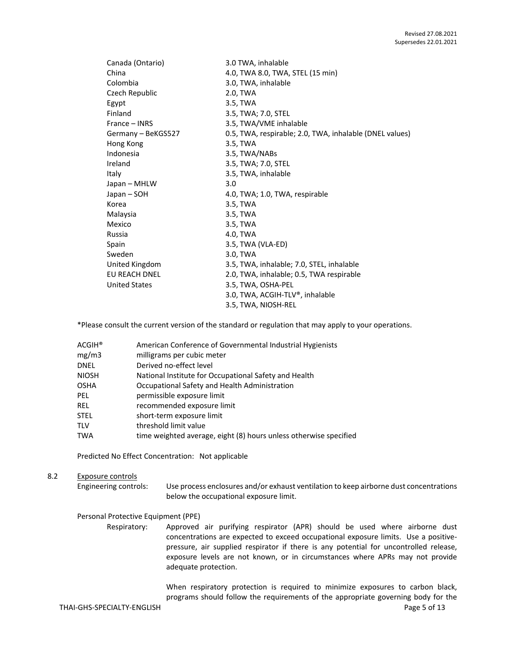| Canada (Ontario)     | 3.0 TWA, inhalable                                      |
|----------------------|---------------------------------------------------------|
| China                | 4.0, TWA 8.0, TWA, STEL (15 min)                        |
| Colombia             | 3.0, TWA, inhalable                                     |
| Czech Republic       | 2.0, TWA                                                |
| Egypt                | 3.5, TWA                                                |
| Finland              | 3.5, TWA; 7.0, STEL                                     |
| France – INRS        | 3.5, TWA/VME inhalable                                  |
| Germany - BeKGS527   | 0.5, TWA, respirable; 2.0, TWA, inhalable (DNEL values) |
| Hong Kong            | 3.5, TWA                                                |
| Indonesia            | 3.5, TWA/NABs                                           |
| Ireland              | 3.5, TWA; 7.0, STEL                                     |
| Italy                | 3.5, TWA, inhalable                                     |
| Japan – MHLW         | 3.0                                                     |
| Japan – SOH          | 4.0, TWA; 1.0, TWA, respirable                          |
| Korea                | 3.5, TWA                                                |
| Malaysia             | 3.5, TWA                                                |
| Mexico               | 3.5, TWA                                                |
| Russia               | 4.0, TWA                                                |
| Spain                | 3.5, TWA (VLA-ED)                                       |
| Sweden               | 3.0, TWA                                                |
| United Kingdom       | 3.5, TWA, inhalable; 7.0, STEL, inhalable               |
| EU REACH DNEL        | 2.0, TWA, inhalable; 0.5, TWA respirable                |
| <b>United States</b> | 3.5, TWA, OSHA-PEL                                      |
|                      | 3.0, TWA, ACGIH-TLV®, inhalable                         |
|                      | 3.5, TWA, NIOSH-REL                                     |

\*Please consult the current version of the standard or regulation that may apply to your operations.

| $ACGIH^*$    | American Conference of Governmental Industrial Hygienists         |
|--------------|-------------------------------------------------------------------|
| mg/m3        | milligrams per cubic meter                                        |
| <b>DNEL</b>  | Derived no-effect level                                           |
| <b>NIOSH</b> | National Institute for Occupational Safety and Health             |
| <b>OSHA</b>  | Occupational Safety and Health Administration                     |
| <b>PEL</b>   | permissible exposure limit                                        |
| REL          | recommended exposure limit                                        |
| <b>STEL</b>  | short-term exposure limit                                         |
| <b>TLV</b>   | threshold limit value                                             |
| <b>TWA</b>   | time weighted average, eight (8) hours unless otherwise specified |

Predicted No Effect Concentration: Not applicable

### 8.2 Exposure controls

Engineering controls: Use process enclosures and/or exhaust ventilation to keep airborne dust concentrations below the occupational exposure limit.

#### Personal Protective Equipment (PPE)

Respiratory: Approved air purifying respirator (APR) should be used where airborne dust concentrations are expected to exceed occupational exposure limits. Use a positivepressure, air supplied respirator if there is any potential for uncontrolled release, exposure levels are not known, or in circumstances where APRs may not provide adequate protection.

> When respiratory protection is required to minimize exposures to carbon black, programs should follow the requirements of the appropriate governing body for the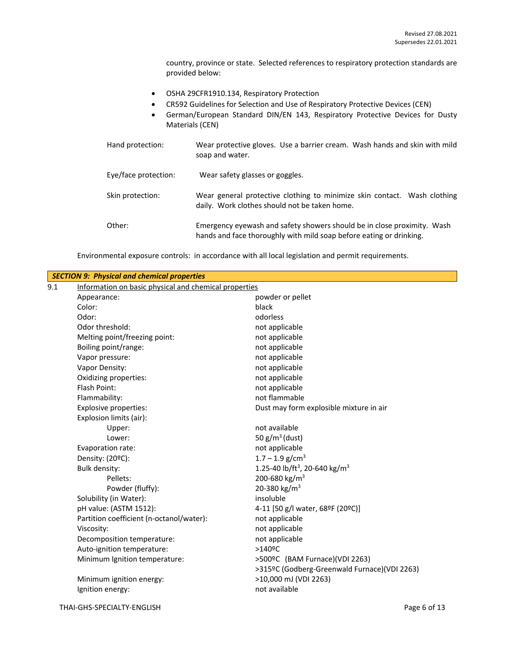country, province or state. Selected references to respiratory protection standards are provided below:

- OSHA 29CFR1910.134, Respiratory Protection
- CR592 Guidelines for Selection and Use of Respiratory Protective Devices (CEN)
- German/European Standard DIN/EN 143, Respiratory Protective Devices for Dusty Materials (CEN)

| Hand protection:     | Wear protective gloves. Use a barrier cream. Wash hands and skin with mild<br>soap and water.                                                  |
|----------------------|------------------------------------------------------------------------------------------------------------------------------------------------|
| Eye/face protection: | Wear safety glasses or goggles.                                                                                                                |
| Skin protection:     | Wear general protective clothing to minimize skin contact. Wash clothing<br>daily. Work clothes should not be taken home.                      |
| Other:               | Emergency eyewash and safety showers should be in close proximity. Wash<br>hands and face thoroughly with mild soap before eating or drinking. |

Environmental exposure controls: in accordance with all local legislation and permit requirements.

|     | <b>SECTION 9: Physical and chemical properties</b>    |                                                       |
|-----|-------------------------------------------------------|-------------------------------------------------------|
| 9.1 | Information on basic physical and chemical properties |                                                       |
|     | Appearance:                                           | powder or pellet                                      |
|     | Color:                                                | black                                                 |
|     | Odor:                                                 | odorless                                              |
|     | Odor threshold:                                       | not applicable                                        |
|     | Melting point/freezing point:                         | not applicable                                        |
|     | Boiling point/range:                                  | not applicable                                        |
|     | Vapor pressure:                                       | not applicable                                        |
|     | Vapor Density:                                        | not applicable                                        |
|     | Oxidizing properties:                                 | not applicable                                        |
|     | Flash Point:                                          | not applicable                                        |
|     | Flammability:                                         | not flammable                                         |
|     | <b>Explosive properties:</b>                          | Dust may form explosible mixture in air               |
|     | Explosion limits (air):                               |                                                       |
|     | Upper:                                                | not available                                         |
|     | Lower:                                                | 50 $g/m^3$ (dust)                                     |
|     | Evaporation rate:                                     | not applicable                                        |
|     | Density: (20°C):                                      | $1.7 - 1.9$ g/cm <sup>3</sup>                         |
|     | <b>Bulk density:</b>                                  | 1.25-40 lb/ft <sup>3</sup> , 20-640 kg/m <sup>3</sup> |
|     | Pellets:                                              | 200-680 kg/m <sup>3</sup>                             |
|     | Powder (fluffy):                                      | 20-380 kg/m <sup>3</sup>                              |
|     | Solubility (in Water):                                | insoluble                                             |
|     | pH value: (ASTM 1512):                                | 4-11 [50 g/l water, 68ºF (20ºC)]                      |
|     | Partition coefficient (n-octanol/water):              | not applicable                                        |
|     | Viscosity:                                            | not applicable                                        |
|     | Decomposition temperature:                            | not applicable                                        |
|     | Auto-ignition temperature:                            | >140°C                                                |
|     | Minimum Ignition temperature:                         | >500ºC (BAM Furnace)(VDI 2263)                        |
|     |                                                       | >315ºC (Godberg-Greenwald Furnace)(VDI 2263)          |
|     | Minimum ignition energy:                              | >10,000 mJ (VDI 2263)                                 |
|     | Ignition energy:                                      | not available                                         |
|     |                                                       |                                                       |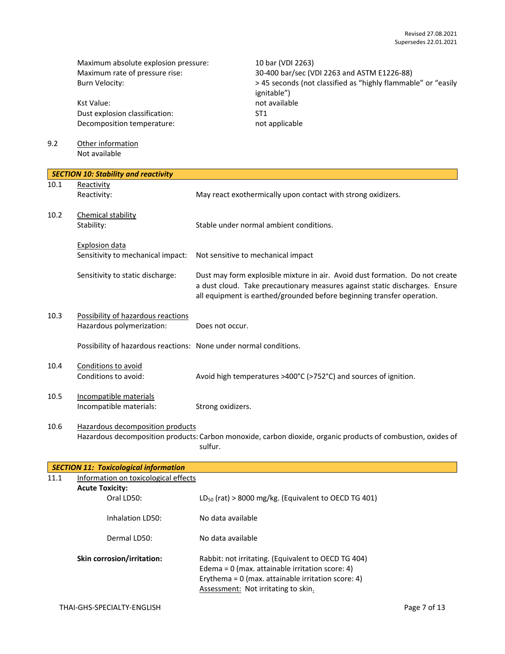Maximum absolute explosion pressure: 10 bar (VDI 2263)<br>Maximum rate of pressure rise: 30-400 bar/sec (VI

Kst Value: not available Dust explosion classification: ST1 Decomposition temperature: not applicable

9.2 Other information Not available

30-400 bar/sec (VDI 2263 and ASTM E1226-88) Burn Velocity:  $\rightarrow$  45 seconds (not classified as "highly flammable" or "easily ignitable")

|      | <b>SECTION 10: Stability and reactivity</b>                       |                                                                                                                                                                                                                                       |
|------|-------------------------------------------------------------------|---------------------------------------------------------------------------------------------------------------------------------------------------------------------------------------------------------------------------------------|
| 10.1 | Reactivity                                                        |                                                                                                                                                                                                                                       |
|      | Reactivity:                                                       | May react exothermically upon contact with strong oxidizers.                                                                                                                                                                          |
| 10.2 | Chemical stability<br>Stability:                                  | Stable under normal ambient conditions.                                                                                                                                                                                               |
|      | Explosion data<br>Sensitivity to mechanical impact:               | Not sensitive to mechanical impact                                                                                                                                                                                                    |
|      | Sensitivity to static discharge:                                  | Dust may form explosible mixture in air. Avoid dust formation. Do not create<br>a dust cloud. Take precautionary measures against static discharges. Ensure<br>all equipment is earthed/grounded before beginning transfer operation. |
| 10.3 | Possibility of hazardous reactions<br>Hazardous polymerization:   | Does not occur.                                                                                                                                                                                                                       |
|      | Possibility of hazardous reactions: None under normal conditions. |                                                                                                                                                                                                                                       |
| 10.4 | Conditions to avoid<br>Conditions to avoid:                       | Avoid high temperatures >400°C (>752°C) and sources of ignition.                                                                                                                                                                      |
| 10.5 | Incompatible materials<br>Incompatible materials:                 | Strong oxidizers.                                                                                                                                                                                                                     |
| 10.6 | Hazardous decomposition products                                  | Hazardous decomposition products: Carbon monoxide, carbon dioxide, organic products of combustion, oxides of<br>sulfur.                                                                                                               |

|      | <b>SECTION 11: Toxicological information</b> |                                                                                                                                                                                                         |
|------|----------------------------------------------|---------------------------------------------------------------------------------------------------------------------------------------------------------------------------------------------------------|
| 11.1 | Information on toxicological effects         |                                                                                                                                                                                                         |
|      | <b>Acute Toxicity:</b>                       |                                                                                                                                                                                                         |
|      | Oral LD50:                                   | $LD_{50}$ (rat) > 8000 mg/kg. (Equivalent to OECD TG 401)                                                                                                                                               |
|      | Inhalation LD50:                             | No data available                                                                                                                                                                                       |
|      | Dermal LD50:                                 | No data available                                                                                                                                                                                       |
|      | <b>Skin corrosion/irritation:</b>            | Rabbit: not irritating. (Equivalent to OECD TG 404)<br>Edema = $0$ (max. attainable irritation score: 4)<br>Erythema = $0$ (max. attainable irritation score: 4)<br>Assessment: Not irritating to skin. |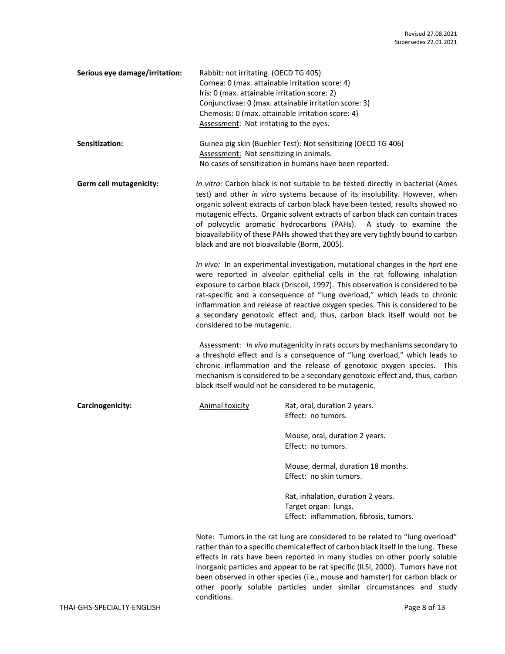| Serious eye damage/irritation: | Rabbit: not irritating. (OECD TG 405)<br>Cornea: 0 (max. attainable irritation score: 4)<br>Iris: 0 (max. attainable irritation score: 2)<br>Conjunctivae: 0 (max. attainable irritation score: 3)<br>Chemosis: 0 (max. attainable irritation score: 4)<br>Assessment: Not irritating to the eyes.                                                                                                                                                                                                                                        |                                                                                                                                                                                                                                                                                                                                                                                                                      |  |  |
|--------------------------------|-------------------------------------------------------------------------------------------------------------------------------------------------------------------------------------------------------------------------------------------------------------------------------------------------------------------------------------------------------------------------------------------------------------------------------------------------------------------------------------------------------------------------------------------|----------------------------------------------------------------------------------------------------------------------------------------------------------------------------------------------------------------------------------------------------------------------------------------------------------------------------------------------------------------------------------------------------------------------|--|--|
| Sensitization:                 | Guinea pig skin (Buehler Test): Not sensitizing (OECD TG 406)<br>Assessment: Not sensitizing in animals.<br>No cases of sensitization in humans have been reported.                                                                                                                                                                                                                                                                                                                                                                       |                                                                                                                                                                                                                                                                                                                                                                                                                      |  |  |
| Germ cell mutagenicity:        | In vitro: Carbon black is not suitable to be tested directly in bacterial (Ames<br>test) and other in vitro systems because of its insolubility. However, when<br>organic solvent extracts of carbon black have been tested, results showed no<br>mutagenic effects. Organic solvent extracts of carbon black can contain traces<br>of polycyclic aromatic hydrocarbons (PAHs). A study to examine the<br>bioavailability of these PAHs showed that they are very tightly bound to carbon<br>black and are not bioavailable (Borm, 2005). |                                                                                                                                                                                                                                                                                                                                                                                                                      |  |  |
|                                | In vivo: In an experimental investigation, mutational changes in the hprt ene<br>were reported in alveolar epithelial cells in the rat following inhalation<br>exposure to carbon black (Driscoll, 1997). This observation is considered to be<br>rat-specific and a consequence of "lung overload," which leads to chronic<br>inflammation and release of reactive oxygen species. This is considered to be<br>a secondary genotoxic effect and, thus, carbon black itself would not be<br>considered to be mutagenic.                   |                                                                                                                                                                                                                                                                                                                                                                                                                      |  |  |
|                                | Assessment: In vivo mutagenicity in rats occurs by mechanisms secondary to<br>a threshold effect and is a consequence of "lung overload," which leads to<br>chronic inflammation and the release of genotoxic oxygen species. This<br>mechanism is considered to be a secondary genotoxic effect and, thus, carbon<br>black itself would not be considered to be mutagenic.                                                                                                                                                               |                                                                                                                                                                                                                                                                                                                                                                                                                      |  |  |
| Carcinogenicity:               | <b>Animal toxicity</b>                                                                                                                                                                                                                                                                                                                                                                                                                                                                                                                    | Rat, oral, duration 2 years.<br>Effect: no tumors.                                                                                                                                                                                                                                                                                                                                                                   |  |  |
|                                |                                                                                                                                                                                                                                                                                                                                                                                                                                                                                                                                           | Mouse, oral, duration 2 years.<br>Effect: no tumors.                                                                                                                                                                                                                                                                                                                                                                 |  |  |
|                                |                                                                                                                                                                                                                                                                                                                                                                                                                                                                                                                                           | Mouse, dermal, duration 18 months.<br>Effect: no skin tumors.                                                                                                                                                                                                                                                                                                                                                        |  |  |
|                                |                                                                                                                                                                                                                                                                                                                                                                                                                                                                                                                                           | Rat, inhalation, duration 2 years.<br>Target organ: lungs.<br>Effect: inflammation, fibrosis, tumors.                                                                                                                                                                                                                                                                                                                |  |  |
|                                |                                                                                                                                                                                                                                                                                                                                                                                                                                                                                                                                           | Note: Tumors in the rat lung are considered to be related to "lung overload"<br>rather than to a specific chemical effect of carbon black itself in the lung. These<br>effects in rats have been reported in many studies on other poorly soluble<br>inorganic particles and appear to be rat specific (ILSI, 2000). Tumors have not<br>been observed in other species (i.e., mouse and hamster) for carbon black or |  |  |

conditions.

other poorly soluble particles under similar circumstances and study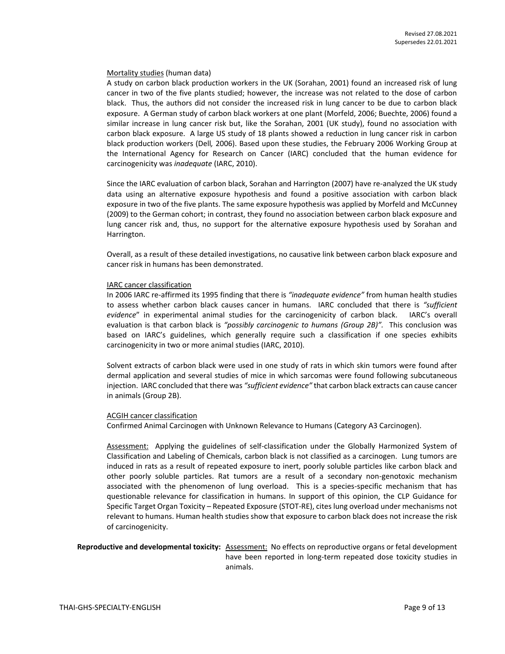#### Mortality studies (human data)

A study on carbon black production workers in the UK (Sorahan, 2001) found an increased risk of lung cancer in two of the five plants studied; however, the increase was not related to the dose of carbon black. Thus, the authors did not consider the increased risk in lung cancer to be due to carbon black exposure. A German study of carbon black workers at one plant (Morfeld, 2006; Buechte, 2006) found a similar increase in lung cancer risk but, like the Sorahan, 2001 (UK study), found no association with carbon black exposure. A large US study of 18 plants showed a reduction in lung cancer risk in carbon black production workers (Dell*,* 2006). Based upon these studies, the February 2006 Working Group at the International Agency for Research on Cancer (IARC) concluded that the human evidence for carcinogenicity was *inadequate* (IARC, 2010).

Since the IARC evaluation of carbon black, Sorahan and Harrington (2007) have re-analyzed the UK study data using an alternative exposure hypothesis and found a positive association with carbon black exposure in two of the five plants. The same exposure hypothesis was applied by Morfeld and McCunney (2009) to the German cohort; in contrast, they found no association between carbon black exposure and lung cancer risk and, thus, no support for the alternative exposure hypothesis used by Sorahan and Harrington.

Overall, as a result of these detailed investigations, no causative link between carbon black exposure and cancer risk in humans has been demonstrated.

#### IARC cancer classification

In 2006 IARC re-affirmed its 1995 finding that there is *"inadequate evidence"* from human health studies to assess whether carbon black causes cancer in humans. IARC concluded that there is *"sufficient evidence*" in experimental animal studies for the carcinogenicity of carbon black. IARC's overall evaluation is that carbon black is *"possibly carcinogenic to humans (Group 2B)".* This conclusion was based on IARC's guidelines, which generally require such a classification if one species exhibits carcinogenicity in two or more animal studies (IARC, 2010).

Solvent extracts of carbon black were used in one study of rats in which skin tumors were found after dermal application and several studies of mice in which sarcomas were found following subcutaneous injection. IARC concluded that there was *"sufficient evidence"* that carbon black extracts can cause cancer in animals (Group 2B).

#### ACGIH cancer classification

Confirmed Animal Carcinogen with Unknown Relevance to Humans (Category A3 Carcinogen).

Assessment: Applying the guidelines of self-classification under the Globally Harmonized System of Classification and Labeling of Chemicals, carbon black is not classified as a carcinogen. Lung tumors are induced in rats as a result of repeated exposure to inert, poorly soluble particles like carbon black and other poorly soluble particles. Rat tumors are a result of a secondary non-genotoxic mechanism associated with the phenomenon of lung overload. This is a species-specific mechanism that has questionable relevance for classification in humans. In support of this opinion, the CLP Guidance for Specific Target Organ Toxicity – Repeated Exposure (STOT-RE), cites lung overload under mechanisms not relevant to humans. Human health studies show that exposure to carbon black does not increase the risk of carcinogenicity.

#### **Reproductive and developmental toxicity:** Assessment: No effects on reproductive organs or fetal development have been reported in long-term repeated dose toxicity studies in animals.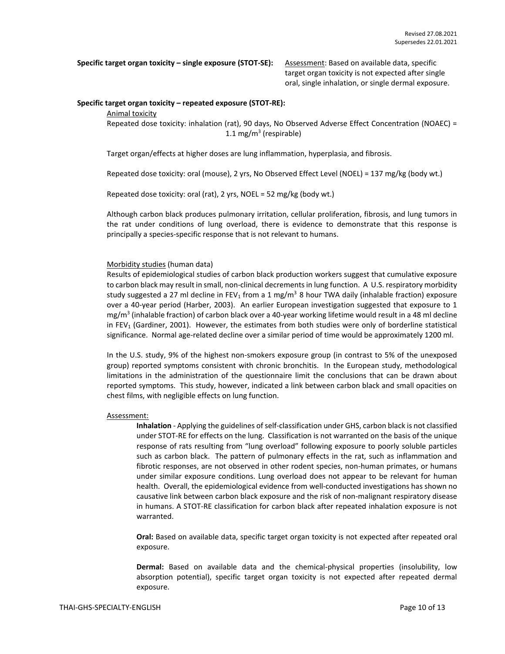**Specific target organ toxicity – single exposure (STOT-SE):** Assessment: Based on available data, specific

target organ toxicity is not expected after single oral, single inhalation, or single dermal exposure.

#### **Specific target organ toxicity – repeated exposure (STOT-RE):**

Animal toxicity

Repeated dose toxicity: inhalation (rat), 90 days, No Observed Adverse Effect Concentration (NOAEC) = 1.1 mg/m<sup>3</sup> (respirable)

Target organ/effects at higher doses are lung inflammation, hyperplasia, and fibrosis.

Repeated dose toxicity: oral (mouse), 2 yrs, No Observed Effect Level (NOEL) = 137 mg/kg (body wt.)

Repeated dose toxicity: oral (rat), 2 yrs, NOEL = 52 mg/kg (body wt.)

Although carbon black produces pulmonary irritation, cellular proliferation, fibrosis, and lung tumors in the rat under conditions of lung overload, there is evidence to demonstrate that this response is principally a species-specific response that is not relevant to humans.

#### Morbidity studies (human data)

Results of epidemiological studies of carbon black production workers suggest that cumulative exposure to carbon black may result in small, non-clinical decrements in lung function. A U.S. respiratory morbidity study suggested a 27 ml decline in FEV<sub>1</sub> from a 1 mg/m<sup>3</sup> 8 hour TWA daily (inhalable fraction) exposure over a 40-year period (Harber, 2003). An earlier European investigation suggested that exposure to 1 mg/m<sup>3</sup> (inhalable fraction) of carbon black over a 40-year working lifetime would result in a 48 ml decline in FEV<sub>1</sub> (Gardiner, 2001). However, the estimates from both studies were only of borderline statistical significance. Normal age-related decline over a similar period of time would be approximately 1200 ml.

In the U.S. study, 9% of the highest non-smokers exposure group (in contrast to 5% of the unexposed group) reported symptoms consistent with chronic bronchitis. In the European study, methodological limitations in the administration of the questionnaire limit the conclusions that can be drawn about reported symptoms. This study, however, indicated a link between carbon black and small opacities on chest films, with negligible effects on lung function.

#### Assessment:

**Inhalation** - Applying the guidelines of self-classification under GHS, carbon black is not classified under STOT-RE for effects on the lung. Classification is not warranted on the basis of the unique response of rats resulting from "lung overload" following exposure to poorly soluble particles such as carbon black. The pattern of pulmonary effects in the rat, such as inflammation and fibrotic responses, are not observed in other rodent species, non-human primates, or humans under similar exposure conditions. Lung overload does not appear to be relevant for human health. Overall, the epidemiological evidence from well-conducted investigations has shown no causative link between carbon black exposure and the risk of non-malignant respiratory disease in humans. A STOT-RE classification for carbon black after repeated inhalation exposure is not warranted.

**Oral:** Based on available data, specific target organ toxicity is not expected after repeated oral exposure.

**Dermal:** Based on available data and the chemical-physical properties (insolubility, low absorption potential), specific target organ toxicity is not expected after repeated dermal exposure.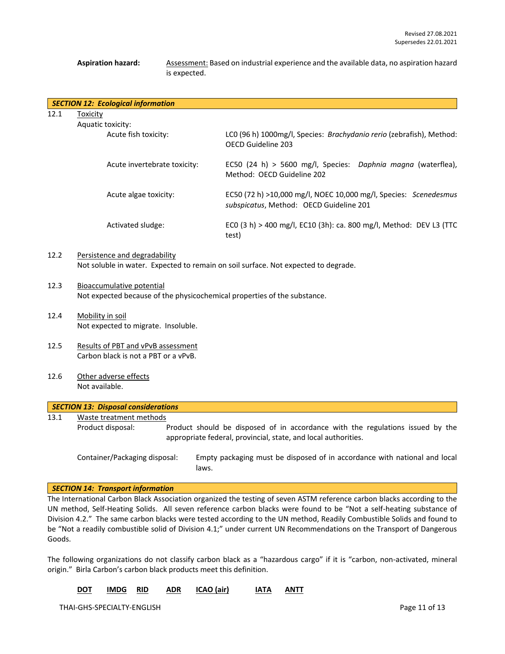#### Aspiration hazard: Assessment: Based on industrial experience and the available data, no aspiration hazard is expected.

|      | <b>SECTION 12: Ecological information</b> |                                                                                                             |
|------|-------------------------------------------|-------------------------------------------------------------------------------------------------------------|
| 12.1 | Toxicity<br>Aquatic toxicity:             |                                                                                                             |
|      | Acute fish toxicity:                      | LCO (96 h) 1000mg/l, Species: Brachydanio rerio (zebrafish), Method:<br>OECD Guideline 203                  |
|      | Acute invertebrate toxicity:              | EC50 (24 h) > 5600 mg/l, Species: Daphnia magna (waterflea),<br>Method: OECD Guideline 202                  |
|      | Acute algae toxicity:                     | EC50 (72 h) >10,000 mg/l, NOEC 10,000 mg/l, Species: Scenedesmus<br>subspicatus, Method: OECD Guideline 201 |
|      | Activated sludge:                         | ECO (3 h) > 400 mg/l, EC10 (3h): ca. 800 mg/l, Method: DEV L3 (TTC<br>test)                                 |
| 12.2 | Persistence and degradability             | Not soluble in water. Expected to remain on soil surface. Not expected to degrade.                          |

- 12.3 Bioaccumulative potential Not expected because of the physicochemical properties of the substance.
- 12.4 Mobility in soil Not expected to migrate. Insoluble.
- 12.5 Results of PBT and vPvB assessment Carbon black is not a PBT or a vPvB.
- 12.6 Other adverse effects Not available.

| <b>SECTION 13: Disposal considerations</b>                                                                                                                            |                               |                                                                                    |  |  |  |
|-----------------------------------------------------------------------------------------------------------------------------------------------------------------------|-------------------------------|------------------------------------------------------------------------------------|--|--|--|
| 13.1                                                                                                                                                                  | Waste treatment methods       |                                                                                    |  |  |  |
| Product disposal:<br>Product should be disposed of in accordance with the regulations issued by the<br>appropriate federal, provincial, state, and local authorities. |                               |                                                                                    |  |  |  |
|                                                                                                                                                                       | Container/Packaging disposal: | Empty packaging must be disposed of in accordance with national and local<br>laws. |  |  |  |

#### *SECTION 14: Transport information*

The International Carbon Black Association organized the testing of seven ASTM reference carbon blacks according to the UN method, Self-Heating Solids. All seven reference carbon blacks were found to be "Not a self-heating substance of Division 4.2." The same carbon blacks were tested according to the UN method, Readily Combustible Solids and found to be "Not a readily combustible solid of Division 4.1;" under current UN Recommendations on the Transport of Dangerous Goods.

The following organizations do not classify carbon black as a "hazardous cargo" if it is "carbon, non-activated, mineral origin." Birla Carbon's carbon black products meet this definition.

| <b>DOT</b> | IMDG RID |  | ADR ICAO (air) | IATA ANTT |  |
|------------|----------|--|----------------|-----------|--|
|            |          |  |                |           |  |

THAI-GHS-SPECIALTY-ENGLISH Page 11 of 13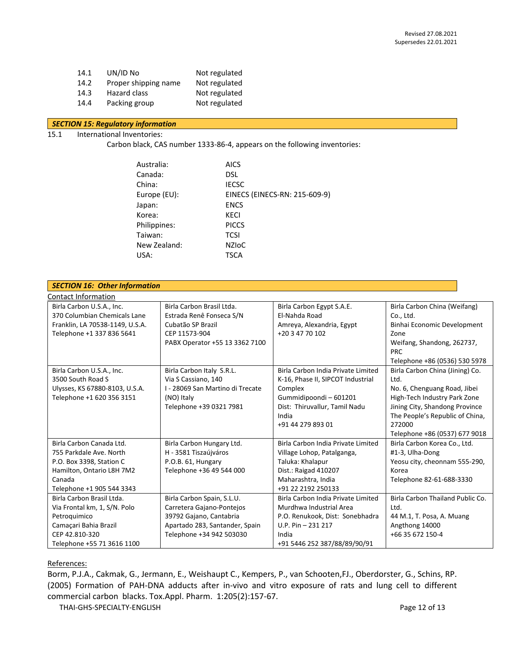14.1 UN/ID No Not regulated 14.2 Proper shipping name Not regulated 14.3 Hazard class Not regulated 14.4 Packing group Not regulated

### *SECTION 15: Regulatory information*

### 15.1 International Inventories:

Carbon black, CAS number 1333-86-4, appears on the following inventories:

| Australia:   | <b>AICS</b>                   |
|--------------|-------------------------------|
| Canada:      | <b>DSL</b>                    |
| China:       | <b>IECSC</b>                  |
| Europe (EU): | EINECS (EINECS-RN: 215-609-9) |
| Japan:       | <b>ENCS</b>                   |
| Korea:       | <b>KECI</b>                   |
| Philippines: | <b>PICCS</b>                  |
| Taiwan:      | <b>TCSI</b>                   |
| New Zealand: | <b>NZIOC</b>                  |
| USA:         | TSCA                          |
|              |                               |

| <b>SECTION 16: Other Information</b> |                                  |                                    |                                  |  |
|--------------------------------------|----------------------------------|------------------------------------|----------------------------------|--|
| Contact Information                  |                                  |                                    |                                  |  |
| Birla Carbon U.S.A., Inc.            | Birla Carbon Brasil Ltda.        | Birla Carbon Egypt S.A.E.          | Birla Carbon China (Weifang)     |  |
| 370 Columbian Chemicals Lane         | Estrada Renê Fonseca S/N         | El-Nahda Road                      | Co., Ltd.                        |  |
| Franklin, LA 70538-1149, U.S.A.      | Cubatão SP Brazil                | Amreya, Alexandria, Egypt          | Binhai Economic Development      |  |
| Telephone +1 337 836 5641            | CEP 11573-904                    | +20 3 47 70 102                    | Zone                             |  |
|                                      | PABX Operator +55 13 3362 7100   |                                    | Weifang, Shandong, 262737,       |  |
|                                      |                                  |                                    | <b>PRC</b>                       |  |
|                                      |                                  |                                    | Telephone +86 (0536) 530 5978    |  |
| Birla Carbon U.S.A., Inc.            | Birla Carbon Italy S.R.L.        | Birla Carbon India Private Limited | Birla Carbon China (Jining) Co.  |  |
| 3500 South Road S                    | Via S Cassiano, 140              | K-16, Phase II, SIPCOT Industrial  | Ltd.                             |  |
| Ulysses, KS 67880-8103, U.S.A.       | I - 28069 San Martino di Trecate | Complex                            | No. 6, Chenguang Road, Jibei     |  |
| Telephone +1 620 356 3151            | (NO) Italy                       | Gummidipoondi - 601201             | High-Tech Industry Park Zone     |  |
|                                      | Telephone +39 0321 7981          | Dist: Thiruvallur, Tamil Nadu      | Jining City, Shandong Province   |  |
|                                      |                                  | India                              | The People's Republic of China,  |  |
|                                      |                                  | +91 44 279 893 01                  | 272000                           |  |
|                                      |                                  |                                    | Telephone +86 (0537) 677 9018    |  |
| Birla Carbon Canada Ltd.             | Birla Carbon Hungary Ltd.        | Birla Carbon India Private Limited | Birla Carbon Korea Co., Ltd.     |  |
| 755 Parkdale Ave. North              | H - 3581 Tiszaújváros            | Village Lohop, Patalganga,         | #1-3, Ulha-Dong                  |  |
| P.O. Box 3398, Station C             | P.O.B. 61, Hungary               | Taluka: Khalapur                   | Yeosu city, cheonnam 555-290,    |  |
| Hamilton, Ontario L8H 7M2            | Telephone +36 49 544 000         | Dist.: Raigad 410207               | Korea                            |  |
| Canada                               |                                  | Maharashtra, India                 | Telephone 82-61-688-3330         |  |
| Telephone +1 905 544 3343            |                                  | +91 22 2192 250133                 |                                  |  |
| Birla Carbon Brasil Ltda.            | Birla Carbon Spain, S.L.U.       | Birla Carbon India Private Limited | Birla Carbon Thailand Public Co. |  |
| Via Frontal km, 1, S/N. Polo         | Carretera Gajano-Pontejos        | Murdhwa Industrial Area            | Ltd.                             |  |
| Petroquimico                         | 39792 Gajano, Cantabria          | P.O. Renukook, Dist: Sonebhadra    | 44 M.1, T. Posa, A. Muang        |  |
| Camaçari Bahia Brazil                | Apartado 283, Santander, Spain   | U.P. Pin - 231 217                 | Angthong 14000                   |  |
| CEP 42.810-320                       | Telephone +34 942 503030         | India                              | +66 35 672 150-4                 |  |
| Telephone +55 71 3616 1100           |                                  | +91 5446 252 387/88/89/90/91       |                                  |  |

References:

Borm, P.J.A., Cakmak, G., Jermann, E., Weishaupt C., Kempers, P., van Schooten,FJ., Oberdorster, G., Schins, RP. (2005) Formation of PAH-DNA adducts after in-vivo and vitro exposure of rats and lung cell to different commercial carbon blacks. Tox.Appl. Pharm. 1:205(2):157-67.

THAI-GHS-SPECIALTY-ENGLISH **Page 12 of 13**